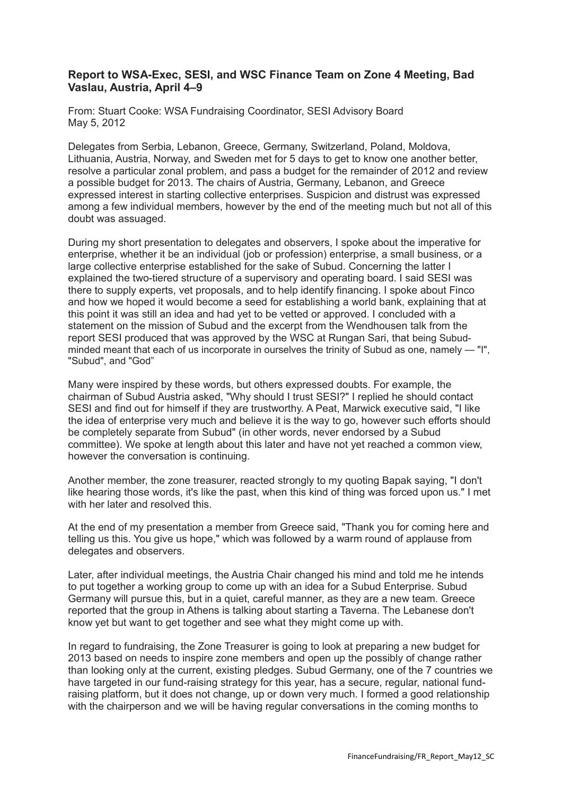## **Report to WSA-Exec, SESI, and WSC Finance Team on Zone 4 Meeting, Bad Vaslau, Austria, April 4–9**

From: Stuart Cooke: WSA Fundraising Coordinator, SESI Advisory Board May 5, 2012

Delegates from Serbia, Lebanon, Greece, Germany, Switzerland, Poland, Moldova, Lithuania, Austria, Norway, and Sweden met for 5 days to get to know one another better, resolve a particular zonal problem, and pass a budget for the remainder of 2012 and review a possible budget for 2013. The chairs of Austria, Germany, Lebanon, and Greece expressed interest in starting collective enterprises. Suspicion and distrust was expressed among a few individual members, however by the end of the meeting much but not all of this doubt was assuaged.

During my short presentation to delegates and observers, I spoke about the imperative for enterprise, whether it be an individual (job or profession) enterprise, a small business, or a large collective enterprise established for the sake of Subud. Concerning the latter I explained the two-tiered structure of a supervisory and operating board. I said SESI was there to supply experts, vet proposals, and to help identify financing. I spoke about Finco and how we hoped it would become a seed for establishing a world bank, explaining that at this point it was still an idea and had yet to be vetted or approved. I concluded with a statement on the mission of Subud and the excerpt from the Wendhousen talk from the report SESI produced that was approved by the WSC at Rungan Sari, that being Subudminded meant that each of us incorporate in ourselves the trinity of Subud as one, namely — "I", "Subud", and "God"

Many were inspired by these words, but others expressed doubts. For example, the chairman of Subud Austria asked, "Why should I trust SESI?" I replied he should contact SESI and find out for himself if they are trustworthy. A Peat, Marwick executive said, "I like the idea of enterprise very much and believe it is the way to go, however such efforts should be completely separate from Subud" (in other words, never endorsed by a Subud committee). We spoke at length about this later and have not yet reached a common view, however the conversation is continuing.

Another member, the zone treasurer, reacted strongly to my quoting Bapak saying, "I don't like hearing those words, it's like the past, when this kind of thing was forced upon us." I met with her later and resolved this.

At the end of my presentation a member from Greece said, "Thank you for coming here and telling us this. You give us hope," which was followed by a warm round of applause from delegates and observers.

Later, after individual meetings, the Austria Chair changed his mind and told me he intends to put together a working group to come up with an idea for a Subud Enterprise. Subud Germany will pursue this, but in a quiet, careful manner, as they are a new team. Greece reported that the group in Athens is talking about starting a Taverna. The Lebanese don't know yet but want to get together and see what they might come up with.

In regard to fundraising, the Zone Treasurer is going to look at preparing a new budget for 2013 based on needs to inspire zone members and open up the possibly of change rather than looking only at the current, existing pledges. Subud Germany, one of the 7 countries we have targeted in our fund-raising strategy for this year, has a secure, regular, national fundraising platform, but it does not change, up or down very much. I formed a good relationship with the chairperson and we will be having regular conversations in the coming months to